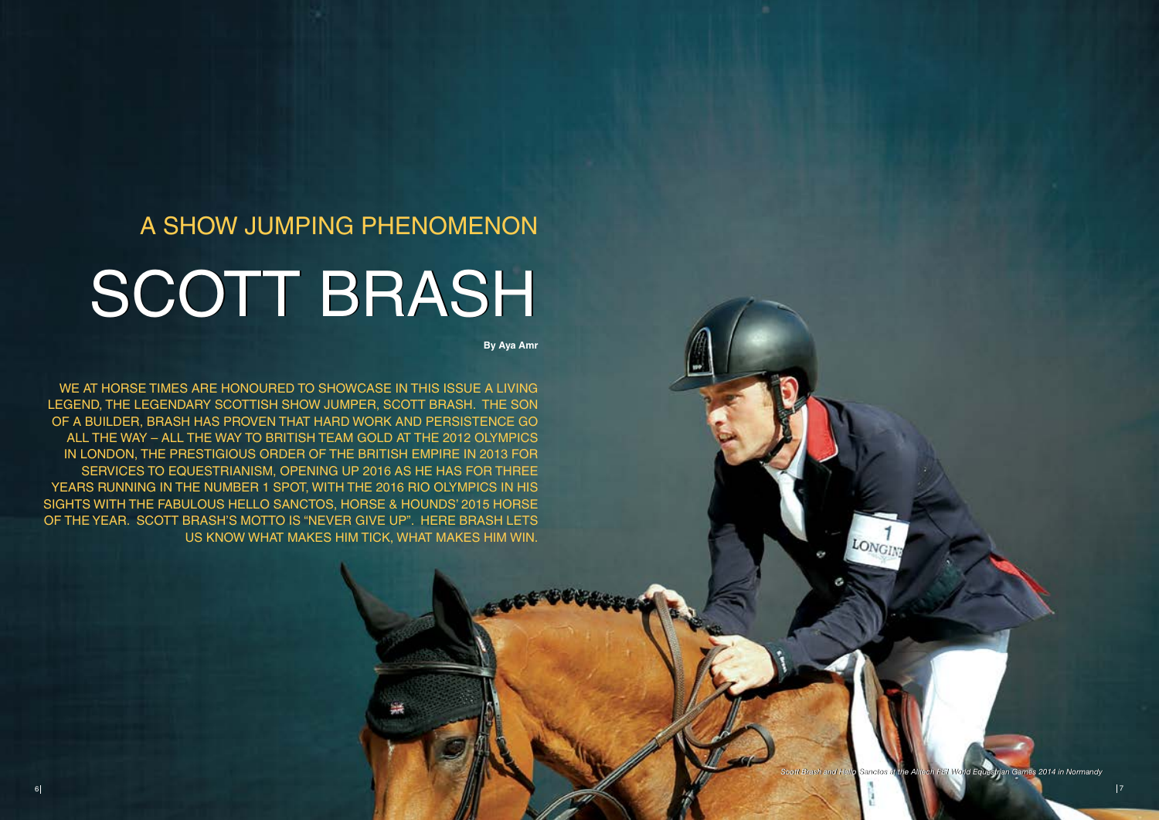# A show jumping phenomenon

# SCOTT BRASH

**By Aya Amr**

WE AT HORSE TIMES ARE HONOURED TO SHOWCASE IN THIS ISSUE A LIVING legend, the legendary Scottish show jumper, Scott Brash. The son of a builder, Brash has proven that hard work and persistence go all the way – all the way to British Team Gold at the 2012 Olympics in London, the prestigious Order of the British Empire in 2013 for services to equestrianism, opening up 2016 as he has for three years running in the number 1 spot, with the 2016 Rio Olympics in his sights with the fabulous Hello Sanctos, Horse & Hounds' 2015 Horse of the Year. Scott Brash's motto is "Never give up". Here Brash lets us know what makes him tick, what makes him win.

*Scott Brash and Hello Sanctos at the Alltech FEI World Equestrian Games 2014 in Normandy Scott Brash and Hello Sanctos at the Alltech FEI World Games 2014 in Normandy*

LONGING